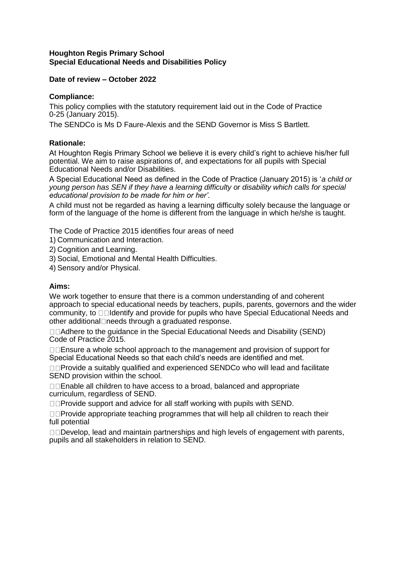#### **Houghton Regis Primary School Special Educational Needs and Disabilities Policy**

### **Date of review – October 2022**

# **Compliance:**

This policy complies with the statutory requirement laid out in the Code of Practice 0-25 (January 2015).

The SENDCo is Ms D Faure-Alexis and the SEND Governor is Miss S Bartlett.

# **Rationale:**

At Houghton Regis Primary School we believe it is every child's right to achieve his/her full potential. We aim to raise aspirations of, and expectations for all pupils with Special Educational Needs and/or Disabilities.

A Special Educational Need as defined in the Code of Practice (January 2015) is '*a child or young person has SEN if they have a learning difficulty or disability which calls for special educational provision to be made for him or her'.*

A child must not be regarded as having a learning difficulty solely because the language or form of the language of the home is different from the language in which he/she is taught.

The Code of Practice 2015 identifies four areas of need

- 1) Communication and Interaction.
- 2) Cognition and Learning.
- 3) Social, Emotional and Mental Health Difficulties.

4) Sensory and/or Physical.

### **Aims:**

We work together to ensure that there is a common understanding of and coherent approach to special educational needs by teachers, pupils, parents, governors and the wider community, to  $\Box$  I dentify and provide for pupils who have Special Educational Needs and other additional needs through a graduated response.

□□Adhere to the quidance in the Special Educational Needs and Disability (SEND) Code of Practice 2015.

 $\Box\Box$  Ensure a whole school approach to the management and provision of support for Special Educational Needs so that each child's needs are identified and met.

□□Provide a suitably qualified and experienced SENDCo who will lead and facilitate SEND provision within the school.

□□Enable all children to have access to a broad, balanced and appropriate curriculum, regardless of SEND.

 $\Box$ Provide support and advice for all staff working with pupils with SEND.

□□Provide appropriate teaching programmes that will help all children to reach their full potential

 $\square$  $\square$ Develop, lead and maintain partnerships and high levels of engagement with parents, pupils and all stakeholders in relation to SEND.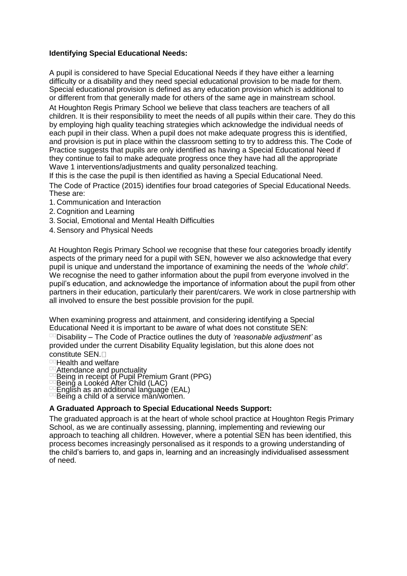# **Identifying Special Educational Needs:**

A pupil is considered to have Special Educational Needs if they have either a learning difficulty or a disability and they need special educational provision to be made for them. Special educational provision is defined as any education provision which is additional to or different from that generally made for others of the same age in mainstream school. At Houghton Regis Primary School we believe that class teachers are teachers of all children. It is their responsibility to meet the needs of all pupils within their care. They do this by employing high quality teaching strategies which acknowledge the individual needs of each pupil in their class. When a pupil does not make adequate progress this is identified, and provision is put in place within the classroom setting to try to address this. The Code of Practice suggests that pupils are only identified as having a Special Educational Need if they continue to fail to make adequate progress once they have had all the appropriate Wave 1 interventions/adjustments and quality personalized teaching.

If this is the case the pupil is then identified as having a Special Educational Need. The Code of Practice (2015) identifies four broad categories of Special Educational Needs. These are:

- 1. Communication and Interaction
- 2. Cognition and Learning
- 3. Social, Emotional and Mental Health Difficulties
- 4. Sensory and Physical Needs

At Houghton Regis Primary School we recognise that these four categories broadly identify aspects of the primary need for a pupil with SEN, however we also acknowledge that every pupil is unique and understand the importance of examining the needs of the *'whole child'*. We recognise the need to gather information about the pupil from everyone involved in the pupil's education, and acknowledge the importance of information about the pupil from other partners in their education, particularly their parent/carers. We work in close partnership with all involved to ensure the best possible provision for the pupil.

When examining progress and attainment, and considering identifying a Special Educational Need it is important to be aware of what does not constitute SEN:

Disability – The Code of Practice outlines the duty of *'reasonable adjustment'* as provided under the current Disability Equality legislation, but this alone does not constitute SEN.

- **DOHealth and welfare**
- Attendance and punctuality
- Being in receipt of Pupil Premium Grant (PPG)
- Being a Looked After Child (LAC)

English as an additional language (EAL)

Being a child of a service măn/women.

### **A Graduated Approach to Special Educational Needs Support:**

The graduated approach is at the heart of whole school practice at Houghton Regis Primary School, as we are continually assessing, planning, implementing and reviewing our approach to teaching all children. However, where a potential SEN has been identified, this process becomes increasingly personalised as it responds to a growing understanding of the child's barriers to, and gaps in, learning and an increasingly individualised assessment of need.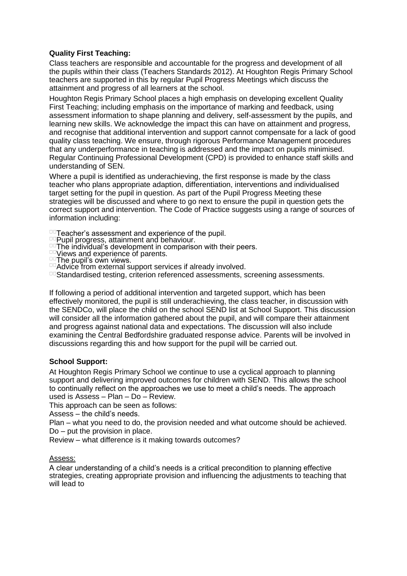# **Quality First Teaching:**

Class teachers are responsible and accountable for the progress and development of all the pupils within their class (Teachers Standards 2012). At Houghton Regis Primary School teachers are supported in this by regular Pupil Progress Meetings which discuss the attainment and progress of all learners at the school.

Houghton Regis Primary School places a high emphasis on developing excellent Quality First Teaching; including emphasis on the importance of marking and feedback, using assessment information to shape planning and delivery, self-assessment by the pupils, and learning new skills. We acknowledge the impact this can have on attainment and progress, and recognise that additional intervention and support cannot compensate for a lack of good quality class teaching. We ensure, through rigorous Performance Management procedures that any underperformance in teaching is addressed and the impact on pupils minimised. Regular Continuing Professional Development (CPD) is provided to enhance staff skills and understanding of SEN.

Where a pupil is identified as underachieving, the first response is made by the class teacher who plans appropriate adaption, differentiation, interventions and individualised target setting for the pupil in question. As part of the Pupil Progress Meeting these strategies will be discussed and where to go next to ensure the pupil in question gets the correct support and intervention. The Code of Practice suggests using a range of sources of information including:

DET eacher's assessment and experience of the pupil.

Pupil progress, attainment and behaviour.

- The individual's development in comparison with their peers.
- **<u>Dollie</u>** Wiews and experience of parents.

 $\overline{p}$ The pupil's own views.

<sup>DD</sup> Advice from external support services if already involved.

Du Standardised testing, criterion referenced assessments, screening assessments.

If following a period of additional intervention and targeted support, which has been effectively monitored, the pupil is still underachieving, the class teacher, in discussion with the SENDCo, will place the child on the school SEND list at School Support. This discussion will consider all the information gathered about the pupil, and will compare their attainment and progress against national data and expectations. The discussion will also include examining the Central Bedfordshire graduated response advice. Parents will be involved in discussions regarding this and how support for the pupil will be carried out.

### **School Support:**

At Houghton Regis Primary School we continue to use a cyclical approach to planning support and delivering improved outcomes for children with SEND. This allows the school to continually reflect on the approaches we use to meet a child's needs. The approach used is Assess – Plan – Do – Review.

This approach can be seen as follows:

Assess – the child's needs.

Plan – what you need to do, the provision needed and what outcome should be achieved. Do – put the provision in place.

Review – what difference is it making towards outcomes?

### Assess:

A clear understanding of a child's needs is a critical precondition to planning effective strategies, creating appropriate provision and influencing the adjustments to teaching that will lead to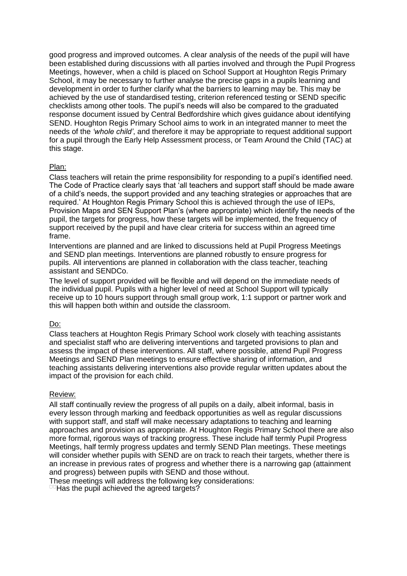good progress and improved outcomes. A clear analysis of the needs of the pupil will have been established during discussions with all parties involved and through the Pupil Progress Meetings, however, when a child is placed on School Support at Houghton Regis Primary School, it may be necessary to further analyse the precise gaps in a pupils learning and development in order to further clarify what the barriers to learning may be. This may be achieved by the use of standardised testing, criterion referenced testing or SEND specific checklists among other tools. The pupil's needs will also be compared to the graduated response document issued by Central Bedfordshire which gives guidance about identifying SEND. Houghton Regis Primary School aims to work in an integrated manner to meet the needs of the *'whole child'*, and therefore it may be appropriate to request additional support for a pupil through the Early Help Assessment process, or Team Around the Child (TAC) at this stage.

#### Plan:

Class teachers will retain the prime responsibility for responding to a pupil's identified need. The Code of Practice clearly says that 'all teachers and support staff should be made aware of a child's needs, the support provided and any teaching strategies or approaches that are required.' At Houghton Regis Primary School this is achieved through the use of IEPs, Provision Maps and SEN Support Plan's (where appropriate) which identify the needs of the pupil, the targets for progress, how these targets will be implemented, the frequency of support received by the pupil and have clear criteria for success within an agreed time frame.

Interventions are planned and are linked to discussions held at Pupil Progress Meetings and SEND plan meetings. Interventions are planned robustly to ensure progress for pupils. All interventions are planned in collaboration with the class teacher, teaching assistant and SENDCo.

The level of support provided will be flexible and will depend on the immediate needs of the individual pupil. Pupils with a higher level of need at School Support will typically receive up to 10 hours support through small group work, 1:1 support or partner work and this will happen both within and outside the classroom.

### Do:

Class teachers at Houghton Regis Primary School work closely with teaching assistants and specialist staff who are delivering interventions and targeted provisions to plan and assess the impact of these interventions. All staff, where possible, attend Pupil Progress Meetings and SEND Plan meetings to ensure effective sharing of information, and teaching assistants delivering interventions also provide regular written updates about the impact of the provision for each child.

#### Review:

All staff continually review the progress of all pupils on a daily, albeit informal, basis in every lesson through marking and feedback opportunities as well as regular discussions with support staff, and staff will make necessary adaptations to teaching and learning approaches and provision as appropriate. At Houghton Regis Primary School there are also more formal, rigorous ways of tracking progress. These include half termly Pupil Progress Meetings, half termly progress updates and termly SEND Plan meetings. These meetings will consider whether pupils with SEND are on track to reach their targets, whether there is an increase in previous rates of progress and whether there is a narrowing gap (attainment and progress) between pupils with SEND and those without.

These meetings will address the following key considerations:

 $\Box$  Has the pupil achieved the agreed targets?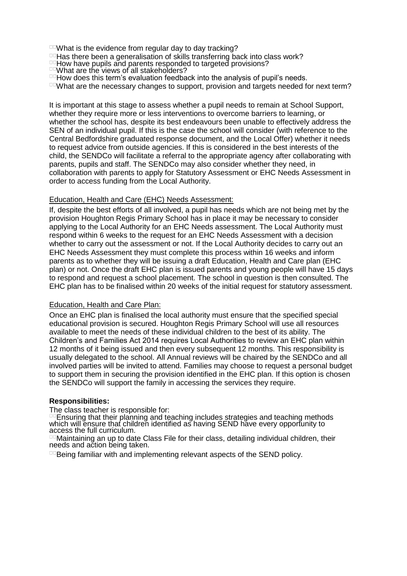- $D<sup>CD</sup>$  What is the evidence from regular day to day tracking?
- $10$ Has there been a generalisation of skills transferring back into class work?
- How have pupils and parents responded to targeted provisions?
- What are the views of all stakeholders?
- $\Box$  How does this term's evaluation feedback into the analysis of pupil's needs.
- $I<sup>II</sup>$ What are the necessary changes to support, provision and targets needed for next term?

It is important at this stage to assess whether a pupil needs to remain at School Support, whether they require more or less interventions to overcome barriers to learning, or whether the school has, despite its best endeavours been unable to effectively address the SEN of an individual pupil. If this is the case the school will consider (with reference to the Central Bedfordshire graduated response document, and the Local Offer) whether it needs to request advice from outside agencies. If this is considered in the best interests of the child, the SENDCo will facilitate a referral to the appropriate agency after collaborating with parents, pupils and staff. The SENDCo may also consider whether they need, in collaboration with parents to apply for Statutory Assessment or EHC Needs Assessment in order to access funding from the Local Authority.

#### Education, Health and Care (EHC) Needs Assessment:

If, despite the best efforts of all involved, a pupil has needs which are not being met by the provision Houghton Regis Primary School has in place it may be necessary to consider applying to the Local Authority for an EHC Needs assessment. The Local Authority must respond within 6 weeks to the request for an EHC Needs Assessment with a decision whether to carry out the assessment or not. If the Local Authority decides to carry out an EHC Needs Assessment they must complete this process within 16 weeks and inform parents as to whether they will be issuing a draft Education, Health and Care plan (EHC plan) or not. Once the draft EHC plan is issued parents and young people will have 15 days to respond and request a school placement. The school in question is then consulted. The EHC plan has to be finalised within 20 weeks of the initial request for statutory assessment.

#### Education, Health and Care Plan:

Once an EHC plan is finalised the local authority must ensure that the specified special educational provision is secured. Houghton Regis Primary School will use all resources available to meet the needs of these individual children to the best of its ability. The Children's and Families Act 2014 requires Local Authorities to review an EHC plan within 12 months of it being issued and then every subsequent 12 months. This responsibility is usually delegated to the school. All Annual reviews will be chaired by the SENDCo and all involved parties will be invited to attend. Families may choose to request a personal budget to support them in securing the provision identified in the EHC plan. If this option is chosen the SENDCo will support the family in accessing the services they require.

#### **Responsibilities:**

The class teacher is responsible for:

Ensuring that their planning and teaching includes strategies and teaching methods which will ensure that children identified as having SEND have every opportunity to access the full curriculum.

Maintaining an up to date Class File for their class, detailing individual children, their needs and action being taken.

De Being familiar with and implementing relevant aspects of the SEND policy.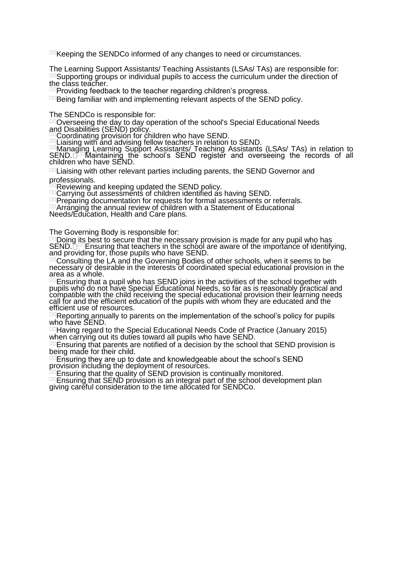$\overline{C}$ Keeping the SENDCo informed of any changes to need or circumstances.

The Learning Support Assistants/ Teaching Assistants (LSAs/ TAs) are responsible for: Supporting groups or individual pupils to access the curriculum under the direction of the class teacher.

Deproviding feedback to the teacher regarding children's progress.

**Being familiar with and implementing relevant aspects of the SEND policy.** 

The SENDCo is responsible for:

DD Overseeing the day to day operation of the school's Special Educational Needs and Disabilities (SEND) policy.

Coordinating provision for children who have SEND.

Liaising with and advising fellow teachers in relation to SEND.

Managing Learning Support Assistants/ Teaching Assistants (LSAs/ TAs) in relation to  ${\sf SEND.}$   $\Box^\Box$  Maintaining the school's SEND register and overseeing the records of all children who have SEND.

DOLiaising with other relevant parties including parents, the SEND Governor and professionals.

Reviewing and keeping updated the SEND policy.

DOCarrying out assessments of children identified as having SEND.

Preparing documentation for requests for formal assessments or referrals.

Arranging the annual review of children with a Statement of Educational

Needs/Education, Health and Care plans.

The Governing Body is responsible for:

Doing its best to secure that the necessary provision is made for any pupil who has SEND. <u>Dece</u>nsuring that teachers in the school are aware of the importance of identifying, and providing for, those pupils who have SEND.

Consulting the LA and the Governing Bodies of other schools, when it seems to be necessary or desirable in the interests of coordinated special educational provision in the area as a whole.

Ensuring that a pupil who has SEND joins in the activities of the school together with pupils who do not have Special Educational Needs, so far as is reasonably practical and compatible with the child receiving the special educational provision their learning needs call for and the efficient education of the pupils with whom they are educated and the efficient use of resources.

Reporting annually to parents on the implementation of the school's policy for pupils who have SEND.

Having regard to the Special Educational Needs Code of Practice (January 2015) when carrying out its duties toward all pupils who have SEND.

DO Ensuring that parents are notified of a decision by the school that SEND provision is being made for their child.

Ensuring they are up to date and knowledgeable about the school's SEND provision including the deployment of resources.

Ensuring that the quality of SEND provision is continually monitored.

DEnsuring that SEND provision is an integral part of the school development plan giving careful consideration to the time allocated for SENDCo.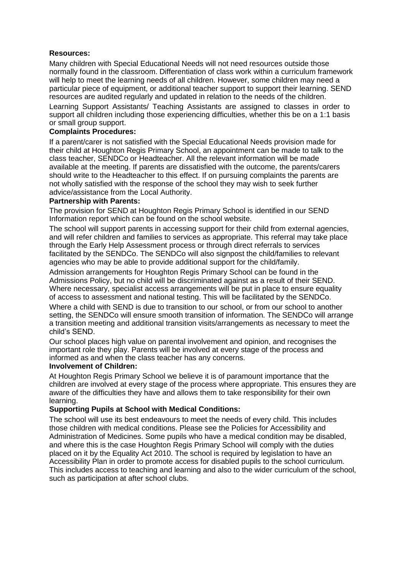# **Resources:**

Many children with Special Educational Needs will not need resources outside those normally found in the classroom. Differentiation of class work within a curriculum framework will help to meet the learning needs of all children. However, some children may need a particular piece of equipment, or additional teacher support to support their learning. SEND resources are audited regularly and updated in relation to the needs of the children.

Learning Support Assistants/ Teaching Assistants are assigned to classes in order to support all children including those experiencing difficulties, whether this be on a 1:1 basis or small group support.

# **Complaints Procedures:**

If a parent/carer is not satisfied with the Special Educational Needs provision made for their child at Houghton Regis Primary School, an appointment can be made to talk to the class teacher, SENDCo or Headteacher. All the relevant information will be made available at the meeting. If parents are dissatisfied with the outcome, the parents/carers should write to the Headteacher to this effect. If on pursuing complaints the parents are not wholly satisfied with the response of the school they may wish to seek further advice/assistance from the Local Authority.

### **Partnership with Parents:**

The provision for SEND at Houghton Regis Primary School is identified in our SEND Information report which can be found on the school website.

The school will support parents in accessing support for their child from external agencies, and will refer children and families to services as appropriate. This referral may take place through the Early Help Assessment process or through direct referrals to services facilitated by the SENDCo. The SENDCo will also signpost the child/families to relevant agencies who may be able to provide additional support for the child/family.

Admission arrangements for Houghton Regis Primary School can be found in the Admissions Policy, but no child will be discriminated against as a result of their SEND. Where necessary, specialist access arrangements will be put in place to ensure equality of access to assessment and national testing. This will be facilitated by the SENDCo.

Where a child with SEND is due to transition to our school, or from our school to another setting, the SENDCo will ensure smooth transition of information. The SENDCo will arrange a transition meeting and additional transition visits/arrangements as necessary to meet the child's SEND.

Our school places high value on parental involvement and opinion, and recognises the important role they play. Parents will be involved at every stage of the process and informed as and when the class teacher has any concerns.

### **Involvement of Children:**

At Houghton Regis Primary School we believe it is of paramount importance that the children are involved at every stage of the process where appropriate. This ensures they are aware of the difficulties they have and allows them to take responsibility for their own learning.

### **Supporting Pupils at School with Medical Conditions:**

The school will use its best endeavours to meet the needs of every child. This includes those children with medical conditions. Please see the Policies for Accessibility and Administration of Medicines. Some pupils who have a medical condition may be disabled, and where this is the case Houghton Regis Primary School will comply with the duties placed on it by the Equality Act 2010. The school is required by legislation to have an Accessibility Plan in order to promote access for disabled pupils to the school curriculum. This includes access to teaching and learning and also to the wider curriculum of the school, such as participation at after school clubs.